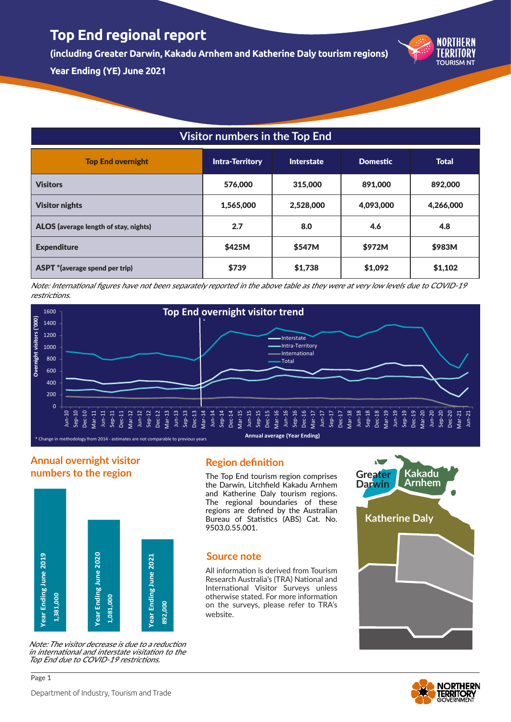**(including Greater Darwin, Kakadu Arnhem and Katherine Daly tourism regions) Year Ending (YE) June 2021**

| <b>Visitor numbers in the Top End</b>  |                        |                   |                 |              |  |
|----------------------------------------|------------------------|-------------------|-----------------|--------------|--|
| <b>Top End overnight</b>               | <b>Intra-Territory</b> | <b>Interstate</b> | <b>Domestic</b> | <b>Total</b> |  |
| <b>Visitors</b>                        | 576,000                | 315,000           | 891,000         | 892,000      |  |
| <b>Visitor nights</b>                  | 1,565,000              | 2,528,000         | 4,093,000       | 4,266,000    |  |
| ALOS (average length of stay, nights)  | 2.7                    | 8.0               | 4.6             | 4.8          |  |
| <b>Expenditure</b>                     | \$425M                 | \$547M            | \$972M          | \$983M       |  |
| <b>ASPT</b> * (average spend per trip) | \$739                  | \$1,738           | \$1,092         | \$1,102      |  |

Note: International figures have not been separately reported in the above table as they were at very low levels due to COVID-19 restrictions.



#### **Annual overnight visitor numbers to the region**



Note: The visitor decrease is due to a reduction in international and interstate visitation to the Top End due to COVID-19 restrictions.

#### **Region definition**

The Top End tourism region comprises the Darwin, Litchfield Kakadu Arnhem and Katherine Daly tourism regions. The regional boundaries of these regions are defined by the Australian Bureau of Statistics (ABS) Cat. No. 9503.0.55.001.

#### **Source note**

All information is derived from Tourism Research Australia's (TRA) National and International Visitor Surveys unless otherwise stated. For more information on the surveys, please refer to TRA's website.





TOURISM NT

Page 1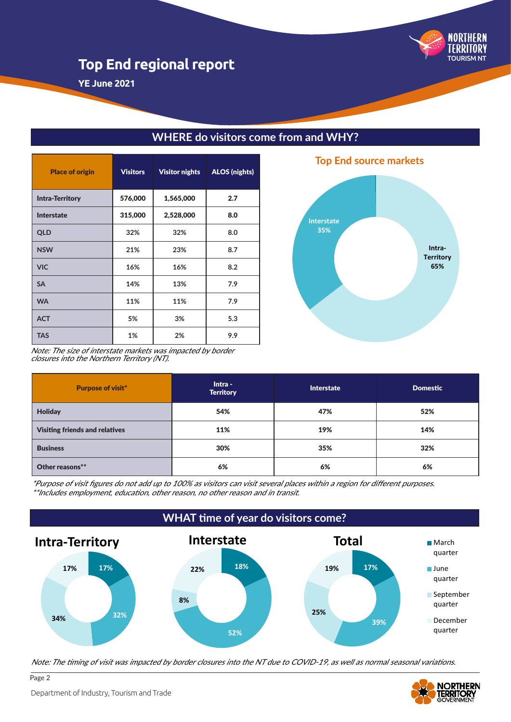

**YE June 2021**

| <b>Place of origin</b> | <b>Visitors</b> | <b>Visitor nights</b> | <b>ALOS (nights)</b> |
|------------------------|-----------------|-----------------------|----------------------|
| <b>Intra-Territory</b> | 576,000         | 1,565,000             | 2.7                  |
| <b>Interstate</b>      | 315,000         | 2,528,000             | 8.0                  |
| <b>QLD</b>             | 32%             | 32%                   | 8.0                  |
| <b>NSW</b>             | 21%             | 23%                   | 8.7                  |
| <b>VIC</b>             | 16%             | 16%                   | 8.2                  |
| <b>SA</b>              | 14%             | 13%                   | 7.9                  |
| <b>WA</b>              | 11%             | 11%                   | 7.9                  |
| <b>ACT</b>             | 5%              | 3%                    | 5.3                  |
| <b>TAS</b>             | 1%              | 2%                    | 9.9                  |

## **WHERE do visitors come from and WHY?**



Note: The size of interstate markets was impacted by border closures into the Northern Territory (NT).

| <b>Purpose of visit*</b>              | Intra -<br><b>Territory</b> | <b>Interstate</b> | <b>Domestic</b> |
|---------------------------------------|-----------------------------|-------------------|-----------------|
| <b>Holiday</b>                        | 54%                         | 47%               | 52%             |
| <b>Visiting friends and relatives</b> | 11%                         | 19%               | 14%             |
| <b>Business</b>                       | 30%                         | 35%               | 32%             |
| Other reasons**                       | 6%                          | 6%                | 6%              |

\*Purpose of visit figures do not add up to 100% as visitors can visit several places within a region for different purposes. \*\*Includes employment, education, other reason, no other reason and in transit.



Note: The timing of visit was impacted by border closures into the NT due to COVID-19, as well as normal seasonal variations.



Page 2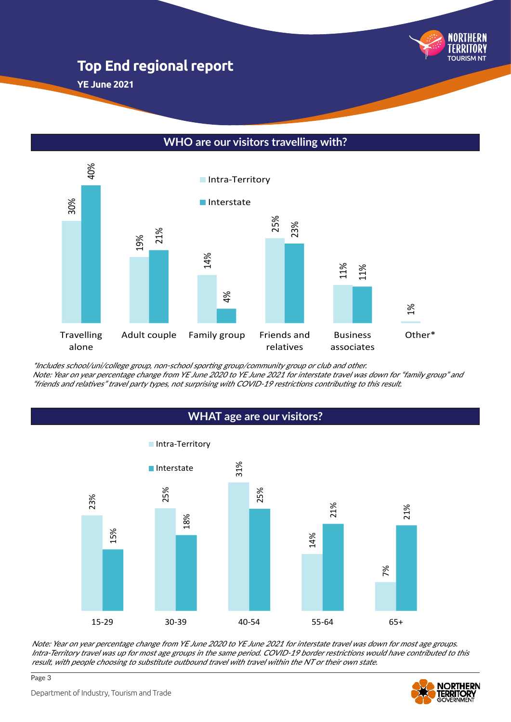**YE June 2021**

### **WHO are our visitors travelling with?**



\*Includes school/uni/college group, non-school sporting group/community group or club and other. Note: Year on year percentage change from YE June 2020 to YE June 2021 for interstate travel was down for "family group" and



Note: Year on year percentage change from YE June 2020 to YE June 2021 for interstate travel was down for most age groups. Intra-Territory travel was up for most age groups in the same period. COVID-19 border restrictions would have contributed to this result, with people choosing to substitute outbound travel with travel within the NT or their own state.



TOURISM NT

Page 3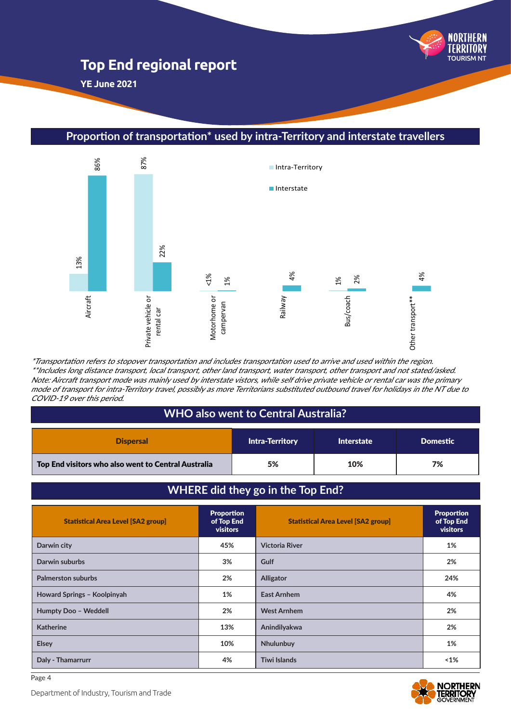**YE June 2021**



**Proportion of transportation\* used by intra-Territory and interstate travellers** 

### **WHO also went to Central Australia?**

| <b>Dispersal</b>                                    | <b>Intra-Territory</b> | <b>Interstate</b> | <b>Domestic</b> |
|-----------------------------------------------------|------------------------|-------------------|-----------------|
| Top End visitors who also went to Central Australia | 5%                     | 10%               | 7%              |

## **WHERE did they go in the Top End?**

|                             | 86%                                                                         | 87%                                                                                                                                                                                                                                                                                                                                                                                                                                                                                                                                           |                                             | Intra-Territory                            |                                           |                                             |
|-----------------------------|-----------------------------------------------------------------------------|-----------------------------------------------------------------------------------------------------------------------------------------------------------------------------------------------------------------------------------------------------------------------------------------------------------------------------------------------------------------------------------------------------------------------------------------------------------------------------------------------------------------------------------------------|---------------------------------------------|--------------------------------------------|-------------------------------------------|---------------------------------------------|
|                             |                                                                             |                                                                                                                                                                                                                                                                                                                                                                                                                                                                                                                                               |                                             | $\blacksquare$ Interstate                  |                                           |                                             |
|                             | 3%                                                                          | 22%                                                                                                                                                                                                                                                                                                                                                                                                                                                                                                                                           | $1\%$<br>1%                                 | 4%                                         | 2%<br>$1\%$                               | 4%                                          |
|                             | Aircraft                                                                    | Private vehicle or<br>rental car                                                                                                                                                                                                                                                                                                                                                                                                                                                                                                              | Motorhome or<br>campervan                   | Railway                                    | Bus/coach                                 | Other transport**                           |
| COVID-19 over this period.  |                                                                             | *Transportation refers to stopover transportation and includes transportation used to arrive and used within the region.<br>**Includes long distance transport, local transport, other land transport, water transport, other transport and not stated/asked.<br>Note: Aircraft transport mode was mainly used by interstate vistors, while self drive private vehicle or rental car was the primary<br>mode of transport for intra-Territory travel, possibly as more Territorians substituted outbound travel for holidays in the NT due to |                                             |                                            |                                           |                                             |
|                             |                                                                             |                                                                                                                                                                                                                                                                                                                                                                                                                                                                                                                                               |                                             | <b>WHO also went to Central Australia?</b> |                                           |                                             |
|                             | <b>Dispersal</b><br><b>Intra-Territory</b><br>Interstate<br><b>Domestic</b> |                                                                                                                                                                                                                                                                                                                                                                                                                                                                                                                                               |                                             |                                            |                                           |                                             |
|                             |                                                                             |                                                                                                                                                                                                                                                                                                                                                                                                                                                                                                                                               |                                             |                                            |                                           |                                             |
|                             |                                                                             | Top End visitors who also went to Central Australia                                                                                                                                                                                                                                                                                                                                                                                                                                                                                           |                                             | 5%                                         | 10%                                       | 7%                                          |
|                             |                                                                             |                                                                                                                                                                                                                                                                                                                                                                                                                                                                                                                                               |                                             | WHERE did they go in the Top End?          |                                           |                                             |
|                             |                                                                             | <b>Statistical Area Level [SA2 group]</b>                                                                                                                                                                                                                                                                                                                                                                                                                                                                                                     | <b>Proportion</b><br>of Top End<br>visitors |                                            | <b>Statistical Area Level [SA2 group]</b> | <b>Proportion</b><br>of Top End<br>visitors |
| Darwin city                 |                                                                             |                                                                                                                                                                                                                                                                                                                                                                                                                                                                                                                                               | 45%                                         | <b>Victoria River</b>                      |                                           | 1%                                          |
| Darwin suburbs              |                                                                             |                                                                                                                                                                                                                                                                                                                                                                                                                                                                                                                                               | 3%                                          | Gulf                                       |                                           | 2%                                          |
| <b>Palmerston suburbs</b>   |                                                                             |                                                                                                                                                                                                                                                                                                                                                                                                                                                                                                                                               | 2%                                          | <b>Alligator</b>                           |                                           | 24%                                         |
| Howard Springs - Koolpinyah |                                                                             |                                                                                                                                                                                                                                                                                                                                                                                                                                                                                                                                               | 1%                                          | <b>East Arnhem</b>                         |                                           | 4%                                          |
| Humpty Doo - Weddell        |                                                                             |                                                                                                                                                                                                                                                                                                                                                                                                                                                                                                                                               | 2%                                          | <b>West Arnhem</b>                         |                                           | 2%                                          |
| <b>Katherine</b>            |                                                                             |                                                                                                                                                                                                                                                                                                                                                                                                                                                                                                                                               | 13%                                         | Anindilyakwa                               |                                           | 2%                                          |
| <b>Elsey</b>                |                                                                             |                                                                                                                                                                                                                                                                                                                                                                                                                                                                                                                                               | 10%                                         | Nhulunbuy                                  |                                           | 1%                                          |
| Daly - Thamarrurr           |                                                                             |                                                                                                                                                                                                                                                                                                                                                                                                                                                                                                                                               | 4%                                          | <b>Tiwi Islands</b>                        |                                           | $~1\%$                                      |



TOURISM NT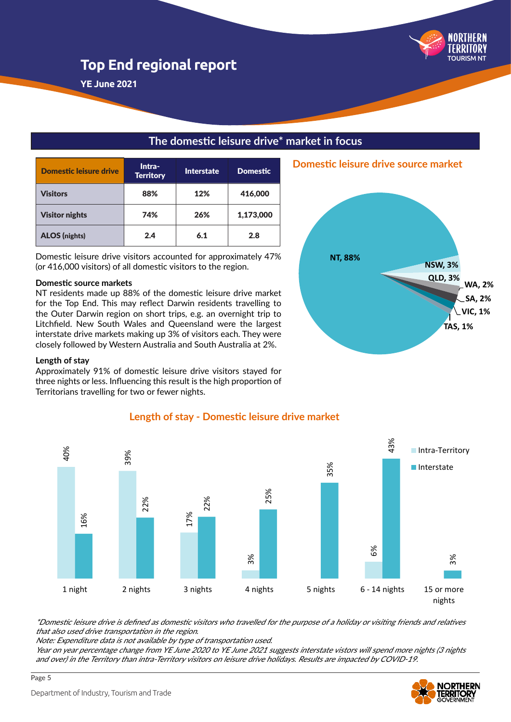

**YE June 2021**

| Domestic leisure drive | Intra-<br><b>Territory</b> | <b>Interstate</b> | <b>Domestic</b> |
|------------------------|----------------------------|-------------------|-----------------|
| <b>Visitors</b>        | 88%                        | 12%               | 416,000         |
| <b>Visitor nights</b>  | 74%                        | 26%               | 1,173,000       |
| <b>ALOS</b> (nights)   | 2.4                        | 6.1               | 2.8             |

Domestic leisure drive visitors accounted for approximately 47% (or 416,000 visitors) of all domestic visitors to the region.

#### **Domestic source markets**

NT residents made up 88% of the domestic leisure drive market for the Top End. This may reflect Darwin residents travelling to the Outer Darwin region on short trips, e.g. an overnight trip to Litchfield. New South Wales and Queensland were the largest interstate drive markets making up 3% of visitors each. They were closely followed by Western Australia and South Australia at 2%.

#### **Length of stay**

Approximately 91% of domestic leisure drive visitors stayed for three nights or less. Influencing this result is the high proportion of Territorians travelling for two or fewer nights.



**Domestic leisure drive source market**



#### **Length of stay - Domestic leisure drive market**

**The domestic leisure drive\* market in focus**

\*Domestic leisure drive is defined as domestic visitors who travelled for the purpose of a holiday or visiting friends and relatives that also used drive transportation in the region.

Note: Expenditure data is not available by type of transportation used.

Year on year percentage change from YE June 2020 to YE June 2021 suggests interstate vistors will spend more nights (3 nights and over) in the Territory than intra-Territory visitors on leisure drive holidays. Results are impacted by COVID-19.

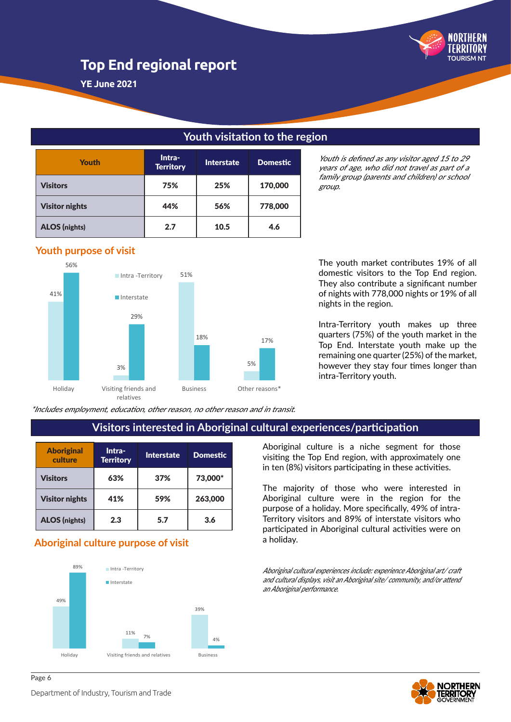

**YE June 2021**

| Youth                 | Intra-<br><b>Territory</b> | <b>Interstate</b> | <b>Domestic</b> |
|-----------------------|----------------------------|-------------------|-----------------|
| <b>Visitors</b>       | 75%                        | 25%               | 170,000         |
| <b>Visitor nights</b> | 44%                        | 56%               | 778,000         |
| <b>ALOS</b> (nights)  | 2.7                        | 10.5              | 4.6             |

## **Youth visitation to the region**

Youth is defined as any visitor aged 15 to 29 years of age, who did not travel as part of a family group (parents and children) or school group.

#### **Youth purpose of visit**



The youth market contributes 19% of all domestic visitors to the Top End region. They also contribute a significant number of nights with 778,000 nights or 19% of all nights in the region.

Intra-Territory youth makes up three quarters (75%) of the youth market in the Top End. Interstate youth make up the remaining one quarter (25%) of the market, however they stay four times longer than intra-Territory youth.

\*Includes employment, education, other reason, no other reason and in transit.

## **Visitors interested in Aboriginal cultural experiences/participation**

| <b>Aboriginal</b><br>culture | Intra-<br><b>Territory</b> | <b>Interstate</b> | <b>Domestic</b> |
|------------------------------|----------------------------|-------------------|-----------------|
| <b>Visitors</b>              | 63%                        | 37%               | 73,000*         |
| <b>Visitor nights</b>        | 41%                        | 59%               | 263,000         |
| <b>ALOS</b> (nights)         | 2.3                        | 5.7               | 3.6             |

## a holiday. **Aboriginal culture purpose of visit**



visiting the Top End region, with approximately one in ten (8%) visitors participating in these activities.

Aboriginal culture is a niche segment for those

The majority of those who were interested in Aboriginal culture were in the region for the purpose of a holiday. More specifically, 49% of intra-Territory visitors and 89% of interstate visitors who participated in Aboriginal cultural activities were on

Aboriginal cultural experiences include: experience Aboriginal art/ craft and cultural displays, visit an Aboriginal site/ community, and/or attend an Aboriginal performance.

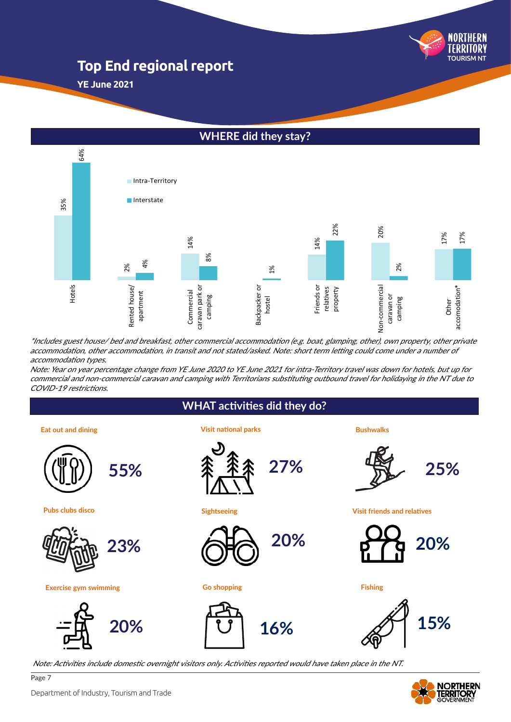**YE June 2021**



\*Includes guest house/ bed and breakfast, other commercial accommodation (e.g. boat, glamping, other), own property, other private accommodation, other accommodation, in transit and not stated/asked. Note: short term letting could come under a number of accommodation types.

Note: Year on year percentage change from YE June 2020 to YE June 2021 for intra-Territory travel was down for hotels, but up for commercial and non-commercial caravan and camping with Territorians substituting outbound travel for holidaying in the NT due to

### **WHAT activities did they do?**

**27%**

**Eat out and dining**



**Pubs clubs disco**



**Exercise gym swimming Fishing**

Page 7





**Sightseeing**



**Go shopping**



Note: Activities include domestic overnight visitors only. Activities reported would have taken place in the NT.





TOURISM NT

**NORTHERN** 

**Visit friends and relatives**





**NORTHERN** 

Department of Industry, Tourism and Trade